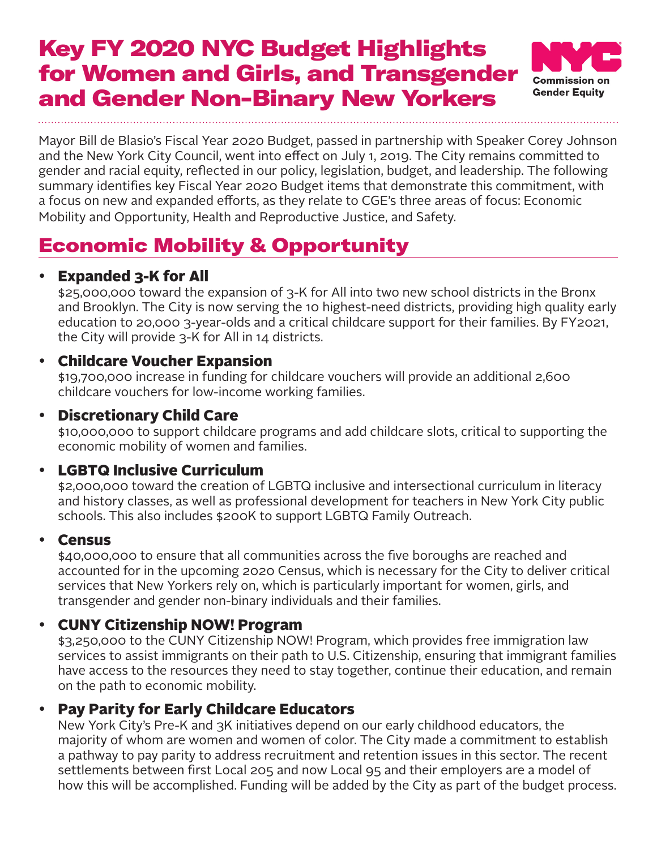# Key FY 2020 NYC Budget Highlights for Women and Girls, and Transgender and Gender Non-Binary New Yorkers



Mayor Bill de Blasio's Fiscal Year 2020 Budget, passed in partnership with Speaker Corey Johnson and the New York City Council, went into effect on July 1, 2019. The City remains committed to gender and racial equity, reflected in our policy, legislation, budget, and leadership. The following summary identifies key Fiscal Year 2020 Budget items that demonstrate this commitment, with a focus on new and expanded efforts, as they relate to CGE's three areas of focus: Economic Mobility and Opportunity, Health and Reproductive Justice, and Safety.

# Economic Mobility & Opportunity

## · Expanded 3-K for All

\$25,000,000 toward the expansion of 3-K for All into two new school districts in the Bronx and Brooklyn. The City is now serving the 10 highest-need districts, providing high quality early education to 20,000 3-year-olds and a critical childcare support for their families. By FY2021, the City will provide 3-K for All in 14 districts.

## · Childcare Voucher Expansion

\$19,700,000 increase in funding for childcare vouchers will provide an additional 2,600 childcare vouchers for low-income working families.

### · Discretionary Child Care

\$10,000,000 to support childcare programs and add childcare slots, critical to supporting the economic mobility of women and families.

## · LGBTQ Inclusive Curriculum

\$2,000,000 toward the creation of LGBTQ inclusive and intersectional curriculum in literacy and history classes, as well as professional development for teachers in New York City public schools. This also includes \$200K to support LGBTQ Family Outreach.

#### · Census

\$40,000,000 to ensure that all communities across the five boroughs are reached and accounted for in the upcoming 2020 Census, which is necessary for the City to deliver critical services that New Yorkers rely on, which is particularly important for women, girls, and transgender and gender non-binary individuals and their families.

#### · CUNY Citizenship NOW! Program

\$3,250,000 to the CUNY Citizenship NOW! Program, which provides free immigration law services to assist immigrants on their path to U.S. Citizenship, ensuring that immigrant families have access to the resources they need to stay together, continue their education, and remain on the path to economic mobility.

## · Pay Parity for Early Childcare Educators

New York City's Pre-K and 3K initiatives depend on our early childhood educators, the majority of whom are women and women of color. The City made a commitment to establish a pathway to pay parity to address recruitment and retention issues in this sector. The recent settlements between first Local 205 and now Local 95 and their employers are a model of how this will be accomplished. Funding will be added by the City as part of the budget process.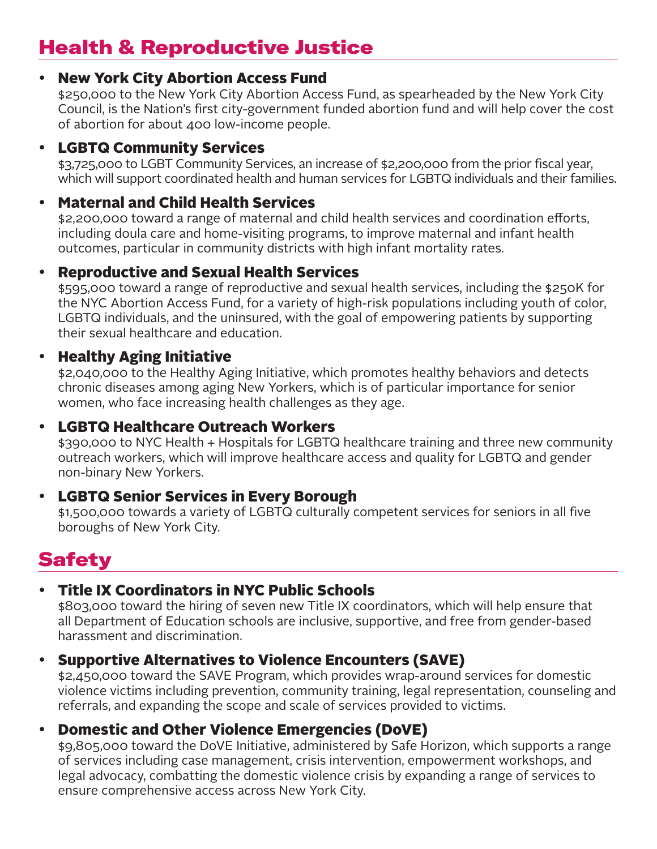## Health & Reproductive Justice

### · New York City Abortion Access Fund

\$250,000 to the New York City Abortion Access Fund, as spearheaded by the New York City Council, is the Nation's first city-government funded abortion fund and will help cover the cost of abortion for about 400 low-income people.

## · LGBTQ Community Services

\$3,725,000 to LGBT Community Services, an increase of \$2,200,000 from the prior fiscal year, which will support coordinated health and human services for LGBTQ individuals and their families.

## · Maternal and Child Health Services

\$2,200,000 toward a range of maternal and child health services and coordination efforts, including doula care and home-visiting programs, to improve maternal and infant health outcomes, particular in community districts with high infant mortality rates.

### · Reproductive and Sexual Health Services

\$595,000 toward a range of reproductive and sexual health services, including the \$250K for the NYC Abortion Access Fund, for a variety of high-risk populations including youth of color, LGBTQ individuals, and the uninsured, with the goal of empowering patients by supporting their sexual healthcare and education.

## · Healthy Aging Initiative

\$2,040,000 to the Healthy Aging Initiative, which promotes healthy behaviors and detects chronic diseases among aging New Yorkers, which is of particular importance for senior women, who face increasing health challenges as they age.

#### · LGBTQ Healthcare Outreach Workers

\$390,000 to NYC Health + Hospitals for LGBTQ healthcare training and three new community outreach workers, which will improve healthcare access and quality for LGBTQ and gender non-binary New Yorkers.

#### · LGBTQ Senior Services in Every Borough

\$1,500,000 towards a variety of LGBTQ culturally competent services for seniors in all five boroughs of New York City.

# **Safety**

## · Title IX Coordinators in NYC Public Schools

\$803,000 toward the hiring of seven new Title IX coordinators, which will help ensure that all Department of Education schools are inclusive, supportive, and free from gender-based harassment and discrimination.

## **Supportive Alternatives to Violence Encounters (SAVE)**

\$2,450,000 toward the SAVE Program, which provides wrap-around services for domestic violence victims including prevention, community training, legal representation, counseling and referrals, and expanding the scope and scale of services provided to victims.

## · Domestic and Other Violence Emergencies (DoVE)

\$9,805,000 toward the DoVE Initiative, administered by Safe Horizon, which supports a range of services including case management, crisis intervention, empowerment workshops, and legal advocacy, combatting the domestic violence crisis by expanding a range of services to ensure comprehensive access across New York City.